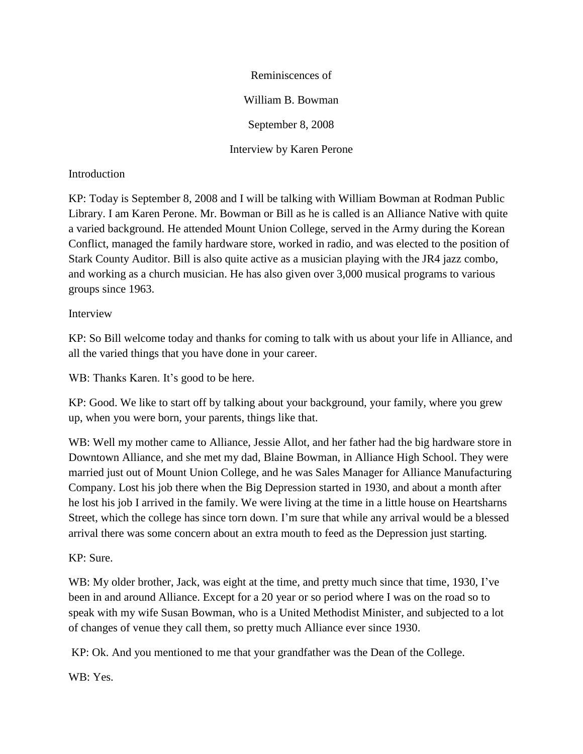Reminiscences of William B. Bowman September 8, 2008 Interview by Karen Perone

## Introduction

KP: Today is September 8, 2008 and I will be talking with William Bowman at Rodman Public Library. I am Karen Perone. Mr. Bowman or Bill as he is called is an Alliance Native with quite a varied background. He attended Mount Union College, served in the Army during the Korean Conflict, managed the family hardware store, worked in radio, and was elected to the position of Stark County Auditor. Bill is also quite active as a musician playing with the JR4 jazz combo, and working as a church musician. He has also given over 3,000 musical programs to various groups since 1963.

### Interview

KP: So Bill welcome today and thanks for coming to talk with us about your life in Alliance, and all the varied things that you have done in your career.

WB: Thanks Karen. It's good to be here.

KP: Good. We like to start off by talking about your background, your family, where you grew up, when you were born, your parents, things like that.

WB: Well my mother came to Alliance, Jessie Allot, and her father had the big hardware store in Downtown Alliance, and she met my dad, Blaine Bowman, in Alliance High School. They were married just out of Mount Union College, and he was Sales Manager for Alliance Manufacturing Company. Lost his job there when the Big Depression started in 1930, and about a month after he lost his job I arrived in the family. We were living at the time in a little house on Heartsharns Street, which the college has since torn down. I'm sure that while any arrival would be a blessed arrival there was some concern about an extra mouth to feed as the Depression just starting.

# KP: Sure.

WB: My older brother, Jack, was eight at the time, and pretty much since that time, 1930, I've been in and around Alliance. Except for a 20 year or so period where I was on the road so to speak with my wife Susan Bowman, who is a United Methodist Minister, and subjected to a lot of changes of venue they call them, so pretty much Alliance ever since 1930.

KP: Ok. And you mentioned to me that your grandfather was the Dean of the College.

WB: Yes.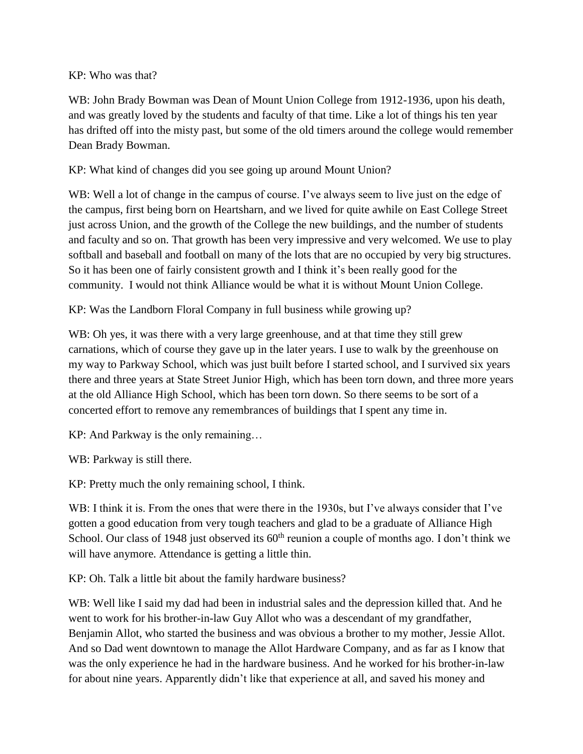### KP: Who was that?

WB: John Brady Bowman was Dean of Mount Union College from 1912-1936, upon his death, and was greatly loved by the students and faculty of that time. Like a lot of things his ten year has drifted off into the misty past, but some of the old timers around the college would remember Dean Brady Bowman.

# KP: What kind of changes did you see going up around Mount Union?

WB: Well a lot of change in the campus of course. I've always seem to live just on the edge of the campus, first being born on Heartsharn, and we lived for quite awhile on East College Street just across Union, and the growth of the College the new buildings, and the number of students and faculty and so on. That growth has been very impressive and very welcomed. We use to play softball and baseball and football on many of the lots that are no occupied by very big structures. So it has been one of fairly consistent growth and I think it's been really good for the community. I would not think Alliance would be what it is without Mount Union College.

KP: Was the Landborn Floral Company in full business while growing up?

WB: Oh yes, it was there with a very large greenhouse, and at that time they still grew carnations, which of course they gave up in the later years. I use to walk by the greenhouse on my way to Parkway School, which was just built before I started school, and I survived six years there and three years at State Street Junior High, which has been torn down, and three more years at the old Alliance High School, which has been torn down. So there seems to be sort of a concerted effort to remove any remembrances of buildings that I spent any time in.

KP: And Parkway is the only remaining…

WB: Parkway is still there.

KP: Pretty much the only remaining school, I think.

WB: I think it is. From the ones that were there in the 1930s, but I've always consider that I've gotten a good education from very tough teachers and glad to be a graduate of Alliance High School. Our class of 1948 just observed its  $60<sup>th</sup>$  reunion a couple of months ago. I don't think we will have anymore. Attendance is getting a little thin.

KP: Oh. Talk a little bit about the family hardware business?

WB: Well like I said my dad had been in industrial sales and the depression killed that. And he went to work for his brother-in-law Guy Allot who was a descendant of my grandfather, Benjamin Allot, who started the business and was obvious a brother to my mother, Jessie Allot. And so Dad went downtown to manage the Allot Hardware Company, and as far as I know that was the only experience he had in the hardware business. And he worked for his brother-in-law for about nine years. Apparently didn't like that experience at all, and saved his money and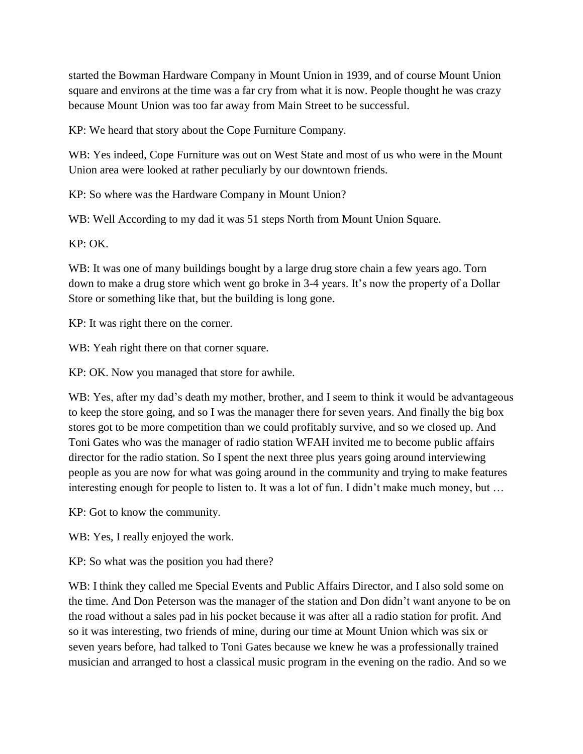started the Bowman Hardware Company in Mount Union in 1939, and of course Mount Union square and environs at the time was a far cry from what it is now. People thought he was crazy because Mount Union was too far away from Main Street to be successful.

KP: We heard that story about the Cope Furniture Company.

WB: Yes indeed, Cope Furniture was out on West State and most of us who were in the Mount Union area were looked at rather peculiarly by our downtown friends.

KP: So where was the Hardware Company in Mount Union?

WB: Well According to my dad it was 51 steps North from Mount Union Square.

KP: OK.

WB: It was one of many buildings bought by a large drug store chain a few years ago. Torn down to make a drug store which went go broke in 3-4 years. It's now the property of a Dollar Store or something like that, but the building is long gone.

KP: It was right there on the corner.

WB: Yeah right there on that corner square.

KP: OK. Now you managed that store for awhile.

WB: Yes, after my dad's death my mother, brother, and I seem to think it would be advantageous to keep the store going, and so I was the manager there for seven years. And finally the big box stores got to be more competition than we could profitably survive, and so we closed up. And Toni Gates who was the manager of radio station WFAH invited me to become public affairs director for the radio station. So I spent the next three plus years going around interviewing people as you are now for what was going around in the community and trying to make features interesting enough for people to listen to. It was a lot of fun. I didn't make much money, but …

KP: Got to know the community.

WB: Yes, I really enjoyed the work.

KP: So what was the position you had there?

WB: I think they called me Special Events and Public Affairs Director, and I also sold some on the time. And Don Peterson was the manager of the station and Don didn't want anyone to be on the road without a sales pad in his pocket because it was after all a radio station for profit. And so it was interesting, two friends of mine, during our time at Mount Union which was six or seven years before, had talked to Toni Gates because we knew he was a professionally trained musician and arranged to host a classical music program in the evening on the radio. And so we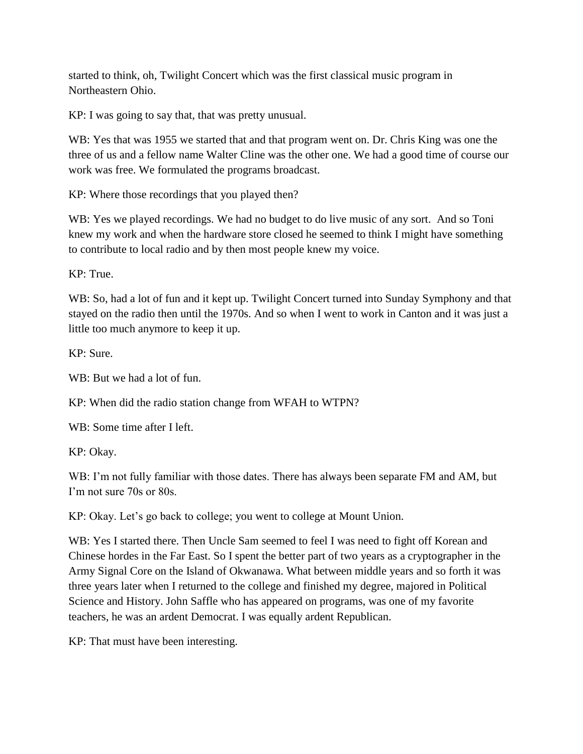started to think, oh, Twilight Concert which was the first classical music program in Northeastern Ohio.

KP: I was going to say that, that was pretty unusual.

WB: Yes that was 1955 we started that and that program went on. Dr. Chris King was one the three of us and a fellow name Walter Cline was the other one. We had a good time of course our work was free. We formulated the programs broadcast.

KP: Where those recordings that you played then?

WB: Yes we played recordings. We had no budget to do live music of any sort. And so Toni knew my work and when the hardware store closed he seemed to think I might have something to contribute to local radio and by then most people knew my voice.

KP: True.

WB: So, had a lot of fun and it kept up. Twilight Concert turned into Sunday Symphony and that stayed on the radio then until the 1970s. And so when I went to work in Canton and it was just a little too much anymore to keep it up.

KP: Sure.

WB: But we had a lot of fun.

KP: When did the radio station change from WFAH to WTPN?

WB: Some time after I left.

KP: Okay.

WB: I'm not fully familiar with those dates. There has always been separate FM and AM, but I'm not sure 70s or 80s.

KP: Okay. Let's go back to college; you went to college at Mount Union.

WB: Yes I started there. Then Uncle Sam seemed to feel I was need to fight off Korean and Chinese hordes in the Far East. So I spent the better part of two years as a cryptographer in the Army Signal Core on the Island of Okwanawa. What between middle years and so forth it was three years later when I returned to the college and finished my degree, majored in Political Science and History. John Saffle who has appeared on programs, was one of my favorite teachers, he was an ardent Democrat. I was equally ardent Republican.

KP: That must have been interesting.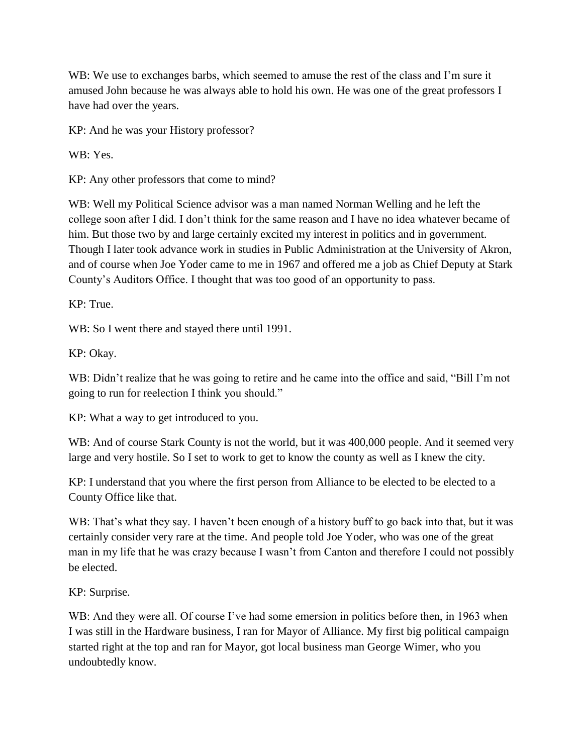WB: We use to exchanges barbs, which seemed to amuse the rest of the class and I'm sure it amused John because he was always able to hold his own. He was one of the great professors I have had over the years.

KP: And he was your History professor?

WB: Yes.

KP: Any other professors that come to mind?

WB: Well my Political Science advisor was a man named Norman Welling and he left the college soon after I did. I don't think for the same reason and I have no idea whatever became of him. But those two by and large certainly excited my interest in politics and in government. Though I later took advance work in studies in Public Administration at the University of Akron, and of course when Joe Yoder came to me in 1967 and offered me a job as Chief Deputy at Stark County's Auditors Office. I thought that was too good of an opportunity to pass.

KP: True.

WB: So I went there and stayed there until 1991.

KP: Okay.

WB: Didn't realize that he was going to retire and he came into the office and said, "Bill I'm not going to run for reelection I think you should."

KP: What a way to get introduced to you.

WB: And of course Stark County is not the world, but it was 400,000 people. And it seemed very large and very hostile. So I set to work to get to know the county as well as I knew the city.

KP: I understand that you where the first person from Alliance to be elected to be elected to a County Office like that.

WB: That's what they say. I haven't been enough of a history buff to go back into that, but it was certainly consider very rare at the time. And people told Joe Yoder, who was one of the great man in my life that he was crazy because I wasn't from Canton and therefore I could not possibly be elected.

KP: Surprise.

WB: And they were all. Of course I've had some emersion in politics before then, in 1963 when I was still in the Hardware business, I ran for Mayor of Alliance. My first big political campaign started right at the top and ran for Mayor, got local business man George Wimer, who you undoubtedly know.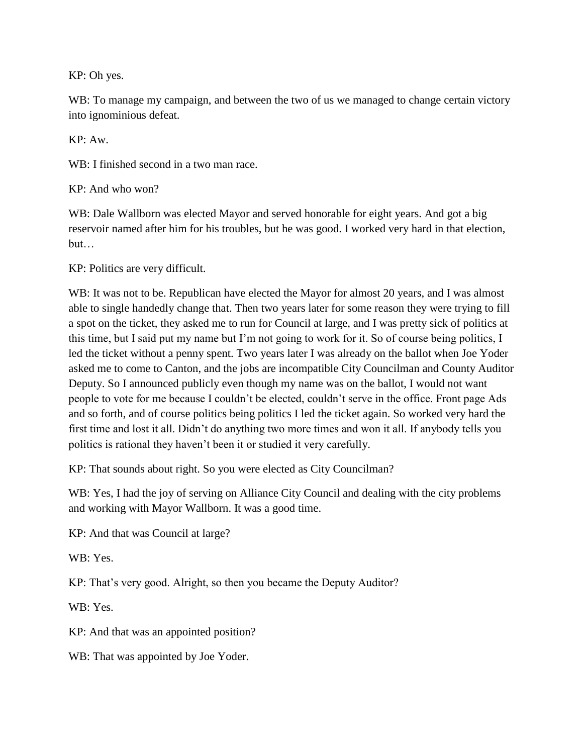KP: Oh yes.

WB: To manage my campaign, and between the two of us we managed to change certain victory into ignominious defeat.

KP: Aw.

WB: I finished second in a two man race.

KP: And who won?

WB: Dale Wallborn was elected Mayor and served honorable for eight years. And got a big reservoir named after him for his troubles, but he was good. I worked very hard in that election, but…

KP: Politics are very difficult.

WB: It was not to be. Republican have elected the Mayor for almost 20 years, and I was almost able to single handedly change that. Then two years later for some reason they were trying to fill a spot on the ticket, they asked me to run for Council at large, and I was pretty sick of politics at this time, but I said put my name but I'm not going to work for it. So of course being politics, I led the ticket without a penny spent. Two years later I was already on the ballot when Joe Yoder asked me to come to Canton, and the jobs are incompatible City Councilman and County Auditor Deputy. So I announced publicly even though my name was on the ballot, I would not want people to vote for me because I couldn't be elected, couldn't serve in the office. Front page Ads and so forth, and of course politics being politics I led the ticket again. So worked very hard the first time and lost it all. Didn't do anything two more times and won it all. If anybody tells you politics is rational they haven't been it or studied it very carefully.

KP: That sounds about right. So you were elected as City Councilman?

WB: Yes, I had the joy of serving on Alliance City Council and dealing with the city problems and working with Mayor Wallborn. It was a good time.

KP: And that was Council at large?

WB: Yes.

KP: That's very good. Alright, so then you became the Deputy Auditor?

WB: Yes.

KP: And that was an appointed position?

WB: That was appointed by Joe Yoder.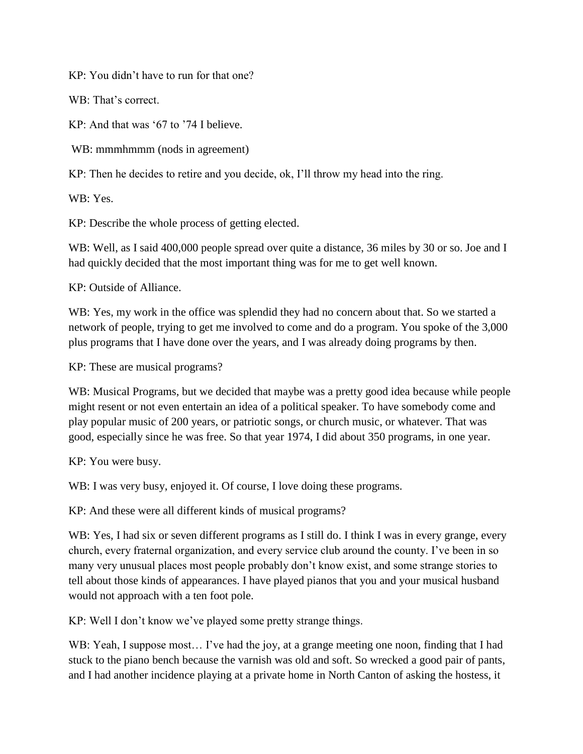KP: You didn't have to run for that one?

WB: That's correct.

KP: And that was '67 to '74 I believe.

WB: mmmhmmm (nods in agreement)

KP: Then he decides to retire and you decide, ok, I'll throw my head into the ring.

WB: Yes.

KP: Describe the whole process of getting elected.

WB: Well, as I said 400,000 people spread over quite a distance, 36 miles by 30 or so. Joe and I had quickly decided that the most important thing was for me to get well known.

KP: Outside of Alliance.

WB: Yes, my work in the office was splendid they had no concern about that. So we started a network of people, trying to get me involved to come and do a program. You spoke of the 3,000 plus programs that I have done over the years, and I was already doing programs by then.

KP: These are musical programs?

WB: Musical Programs, but we decided that maybe was a pretty good idea because while people might resent or not even entertain an idea of a political speaker. To have somebody come and play popular music of 200 years, or patriotic songs, or church music, or whatever. That was good, especially since he was free. So that year 1974, I did about 350 programs, in one year.

KP: You were busy.

WB: I was very busy, enjoyed it. Of course, I love doing these programs.

KP: And these were all different kinds of musical programs?

WB: Yes, I had six or seven different programs as I still do. I think I was in every grange, every church, every fraternal organization, and every service club around the county. I've been in so many very unusual places most people probably don't know exist, and some strange stories to tell about those kinds of appearances. I have played pianos that you and your musical husband would not approach with a ten foot pole.

KP: Well I don't know we've played some pretty strange things.

WB: Yeah, I suppose most... I've had the joy, at a grange meeting one noon, finding that I had stuck to the piano bench because the varnish was old and soft. So wrecked a good pair of pants, and I had another incidence playing at a private home in North Canton of asking the hostess, it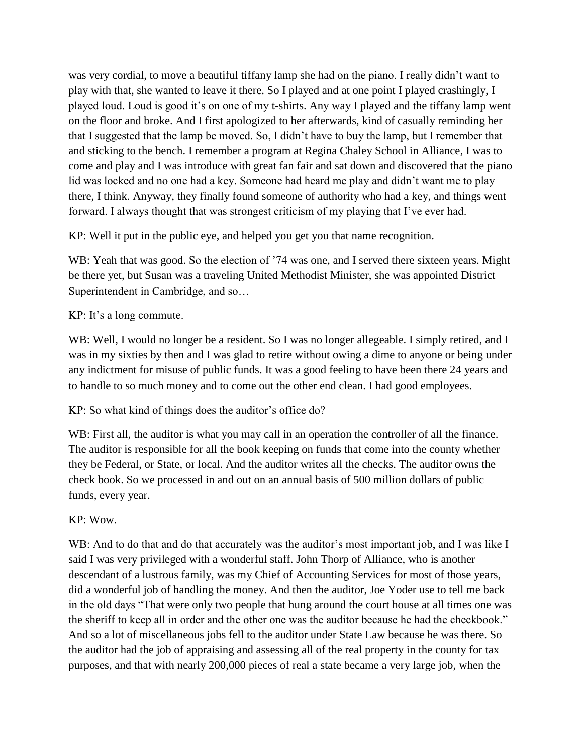was very cordial, to move a beautiful tiffany lamp she had on the piano. I really didn't want to play with that, she wanted to leave it there. So I played and at one point I played crashingly, I played loud. Loud is good it's on one of my t-shirts. Any way I played and the tiffany lamp went on the floor and broke. And I first apologized to her afterwards, kind of casually reminding her that I suggested that the lamp be moved. So, I didn't have to buy the lamp, but I remember that and sticking to the bench. I remember a program at Regina Chaley School in Alliance, I was to come and play and I was introduce with great fan fair and sat down and discovered that the piano lid was locked and no one had a key. Someone had heard me play and didn't want me to play there, I think. Anyway, they finally found someone of authority who had a key, and things went forward. I always thought that was strongest criticism of my playing that I've ever had.

KP: Well it put in the public eye, and helped you get you that name recognition.

WB: Yeah that was good. So the election of '74 was one, and I served there sixteen years. Might be there yet, but Susan was a traveling United Methodist Minister, she was appointed District Superintendent in Cambridge, and so…

# KP: It's a long commute.

WB: Well, I would no longer be a resident. So I was no longer allegeable. I simply retired, and I was in my sixties by then and I was glad to retire without owing a dime to anyone or being under any indictment for misuse of public funds. It was a good feeling to have been there 24 years and to handle to so much money and to come out the other end clean. I had good employees.

KP: So what kind of things does the auditor's office do?

WB: First all, the auditor is what you may call in an operation the controller of all the finance. The auditor is responsible for all the book keeping on funds that come into the county whether they be Federal, or State, or local. And the auditor writes all the checks. The auditor owns the check book. So we processed in and out on an annual basis of 500 million dollars of public funds, every year.

# KP: Wow.

WB: And to do that and do that accurately was the auditor's most important job, and I was like I said I was very privileged with a wonderful staff. John Thorp of Alliance, who is another descendant of a lustrous family, was my Chief of Accounting Services for most of those years, did a wonderful job of handling the money. And then the auditor, Joe Yoder use to tell me back in the old days "That were only two people that hung around the court house at all times one was the sheriff to keep all in order and the other one was the auditor because he had the checkbook." And so a lot of miscellaneous jobs fell to the auditor under State Law because he was there. So the auditor had the job of appraising and assessing all of the real property in the county for tax purposes, and that with nearly 200,000 pieces of real a state became a very large job, when the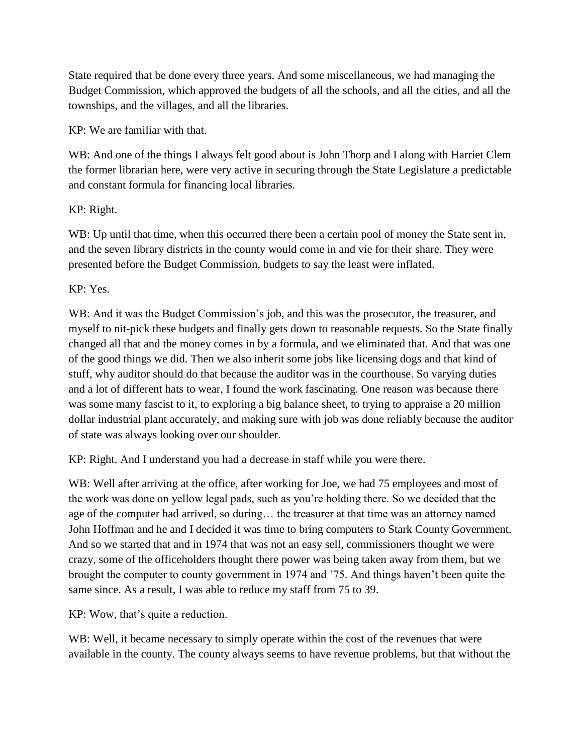State required that be done every three years. And some miscellaneous, we had managing the Budget Commission, which approved the budgets of all the schools, and all the cities, and all the townships, and the villages, and all the libraries.

KP: We are familiar with that.

WB: And one of the things I always felt good about is John Thorp and I along with Harriet Clem the former librarian here, were very active in securing through the State Legislature a predictable and constant formula for financing local libraries.

KP: Right.

WB: Up until that time, when this occurred there been a certain pool of money the State sent in, and the seven library districts in the county would come in and vie for their share. They were presented before the Budget Commission, budgets to say the least were inflated.

KP: Yes.

WB: And it was the Budget Commission's job, and this was the prosecutor, the treasurer, and myself to nit-pick these budgets and finally gets down to reasonable requests. So the State finally changed all that and the money comes in by a formula, and we eliminated that. And that was one of the good things we did. Then we also inherit some jobs like licensing dogs and that kind of stuff, why auditor should do that because the auditor was in the courthouse. So varying duties and a lot of different hats to wear, I found the work fascinating. One reason was because there was some many fascist to it, to exploring a big balance sheet, to trying to appraise a 20 million dollar industrial plant accurately, and making sure with job was done reliably because the auditor of state was always looking over our shoulder.

KP: Right. And I understand you had a decrease in staff while you were there.

WB: Well after arriving at the office, after working for Joe, we had 75 employees and most of the work was done on yellow legal pads, such as you're holding there. So we decided that the age of the computer had arrived, so during… the treasurer at that time was an attorney named John Hoffman and he and I decided it was time to bring computers to Stark County Government. And so we started that and in 1974 that was not an easy sell, commissioners thought we were crazy, some of the officeholders thought there power was being taken away from them, but we brought the computer to county government in 1974 and '75. And things haven't been quite the same since. As a result, I was able to reduce my staff from 75 to 39.

KP: Wow, that's quite a reduction.

WB: Well, it became necessary to simply operate within the cost of the revenues that were available in the county. The county always seems to have revenue problems, but that without the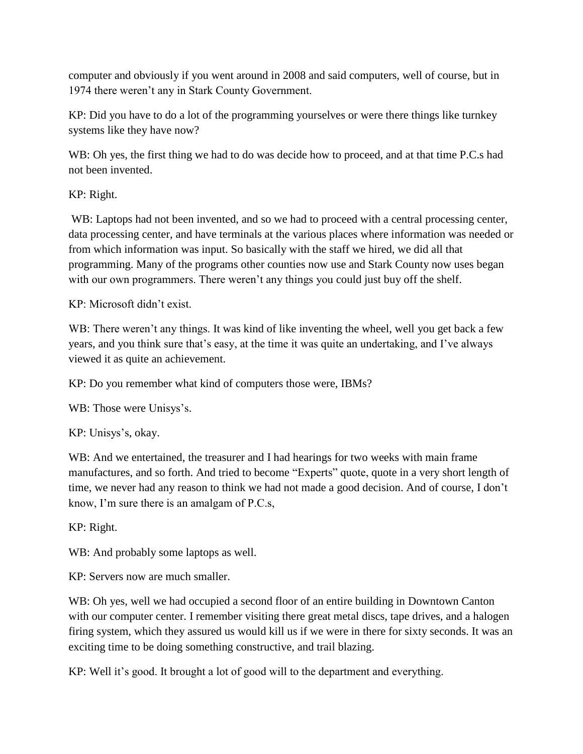computer and obviously if you went around in 2008 and said computers, well of course, but in 1974 there weren't any in Stark County Government.

KP: Did you have to do a lot of the programming yourselves or were there things like turnkey systems like they have now?

WB: Oh yes, the first thing we had to do was decide how to proceed, and at that time P.C.s had not been invented.

KP: Right.

WB: Laptops had not been invented, and so we had to proceed with a central processing center, data processing center, and have terminals at the various places where information was needed or from which information was input. So basically with the staff we hired, we did all that programming. Many of the programs other counties now use and Stark County now uses began with our own programmers. There weren't any things you could just buy off the shelf.

KP: Microsoft didn't exist.

WB: There weren't any things. It was kind of like inventing the wheel, well you get back a few years, and you think sure that's easy, at the time it was quite an undertaking, and I've always viewed it as quite an achievement.

KP: Do you remember what kind of computers those were, IBMs?

WB: Those were Unisys's.

KP: Unisys's, okay.

WB: And we entertained, the treasurer and I had hearings for two weeks with main frame manufactures, and so forth. And tried to become "Experts" quote, quote in a very short length of time, we never had any reason to think we had not made a good decision. And of course, I don't know, I'm sure there is an amalgam of P.C.s,

KP: Right.

WB: And probably some laptops as well.

KP: Servers now are much smaller.

WB: Oh yes, well we had occupied a second floor of an entire building in Downtown Canton with our computer center. I remember visiting there great metal discs, tape drives, and a halogen firing system, which they assured us would kill us if we were in there for sixty seconds. It was an exciting time to be doing something constructive, and trail blazing.

KP: Well it's good. It brought a lot of good will to the department and everything.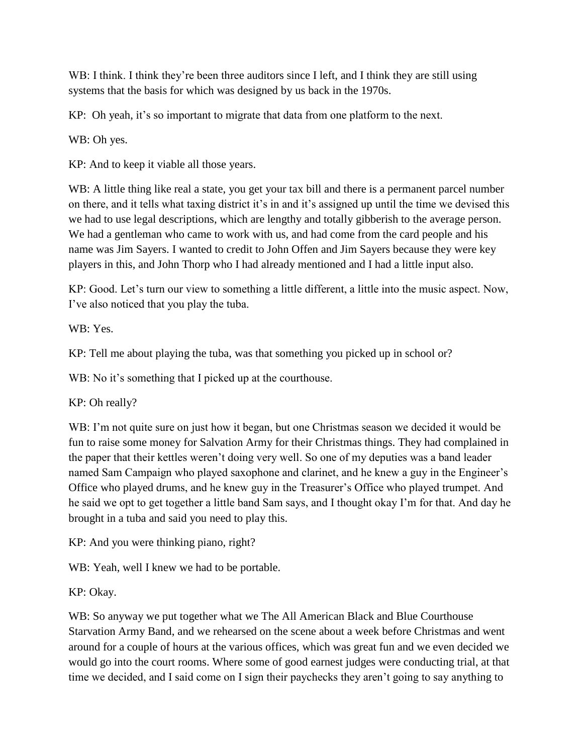WB: I think. I think they're been three auditors since I left, and I think they are still using systems that the basis for which was designed by us back in the 1970s.

KP: Oh yeah, it's so important to migrate that data from one platform to the next.

WB: Oh yes.

KP: And to keep it viable all those years.

WB: A little thing like real a state, you get your tax bill and there is a permanent parcel number on there, and it tells what taxing district it's in and it's assigned up until the time we devised this we had to use legal descriptions, which are lengthy and totally gibberish to the average person. We had a gentleman who came to work with us, and had come from the card people and his name was Jim Sayers. I wanted to credit to John Offen and Jim Sayers because they were key players in this, and John Thorp who I had already mentioned and I had a little input also.

KP: Good. Let's turn our view to something a little different, a little into the music aspect. Now, I've also noticed that you play the tuba.

WB: Yes.

KP: Tell me about playing the tuba, was that something you picked up in school or?

WB: No it's something that I picked up at the courthouse.

KP: Oh really?

WB: I'm not quite sure on just how it began, but one Christmas season we decided it would be fun to raise some money for Salvation Army for their Christmas things. They had complained in the paper that their kettles weren't doing very well. So one of my deputies was a band leader named Sam Campaign who played saxophone and clarinet, and he knew a guy in the Engineer's Office who played drums, and he knew guy in the Treasurer's Office who played trumpet. And he said we opt to get together a little band Sam says, and I thought okay I'm for that. And day he brought in a tuba and said you need to play this.

KP: And you were thinking piano, right?

WB: Yeah, well I knew we had to be portable.

KP: Okay.

WB: So anyway we put together what we The All American Black and Blue Courthouse Starvation Army Band, and we rehearsed on the scene about a week before Christmas and went around for a couple of hours at the various offices, which was great fun and we even decided we would go into the court rooms. Where some of good earnest judges were conducting trial, at that time we decided, and I said come on I sign their paychecks they aren't going to say anything to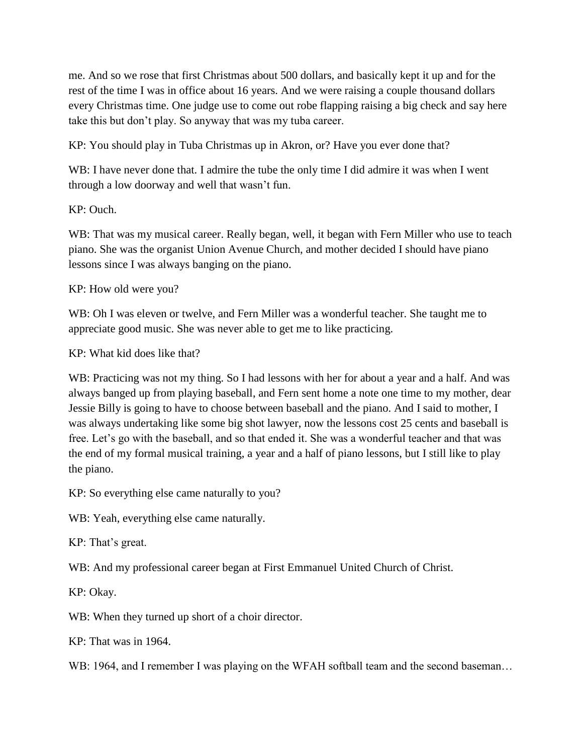me. And so we rose that first Christmas about 500 dollars, and basically kept it up and for the rest of the time I was in office about 16 years. And we were raising a couple thousand dollars every Christmas time. One judge use to come out robe flapping raising a big check and say here take this but don't play. So anyway that was my tuba career.

KP: You should play in Tuba Christmas up in Akron, or? Have you ever done that?

WB: I have never done that. I admire the tube the only time I did admire it was when I went through a low doorway and well that wasn't fun.

KP: Ouch.

WB: That was my musical career. Really began, well, it began with Fern Miller who use to teach piano. She was the organist Union Avenue Church, and mother decided I should have piano lessons since I was always banging on the piano.

KP: How old were you?

WB: Oh I was eleven or twelve, and Fern Miller was a wonderful teacher. She taught me to appreciate good music. She was never able to get me to like practicing.

KP: What kid does like that?

WB: Practicing was not my thing. So I had lessons with her for about a year and a half. And was always banged up from playing baseball, and Fern sent home a note one time to my mother, dear Jessie Billy is going to have to choose between baseball and the piano. And I said to mother, I was always undertaking like some big shot lawyer, now the lessons cost 25 cents and baseball is free. Let's go with the baseball, and so that ended it. She was a wonderful teacher and that was the end of my formal musical training, a year and a half of piano lessons, but I still like to play the piano.

KP: So everything else came naturally to you?

WB: Yeah, everything else came naturally.

KP: That's great.

WB: And my professional career began at First Emmanuel United Church of Christ.

KP: Okay.

WB: When they turned up short of a choir director.

KP: That was in 1964.

WB: 1964, and I remember I was playing on the WFAH softball team and the second baseman...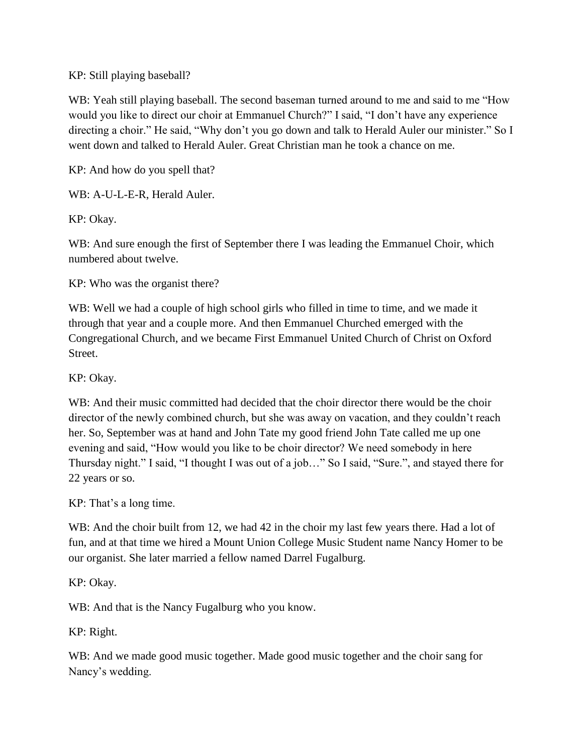## KP: Still playing baseball?

WB: Yeah still playing baseball. The second baseman turned around to me and said to me "How would you like to direct our choir at Emmanuel Church?" I said, "I don't have any experience directing a choir." He said, "Why don't you go down and talk to Herald Auler our minister." So I went down and talked to Herald Auler. Great Christian man he took a chance on me.

KP: And how do you spell that?

WB: A-U-L-E-R, Herald Auler.

KP: Okay.

WB: And sure enough the first of September there I was leading the Emmanuel Choir, which numbered about twelve.

KP: Who was the organist there?

WB: Well we had a couple of high school girls who filled in time to time, and we made it through that year and a couple more. And then Emmanuel Churched emerged with the Congregational Church, and we became First Emmanuel United Church of Christ on Oxford Street.

KP: Okay.

WB: And their music committed had decided that the choir director there would be the choir director of the newly combined church, but she was away on vacation, and they couldn't reach her. So, September was at hand and John Tate my good friend John Tate called me up one evening and said, "How would you like to be choir director? We need somebody in here Thursday night." I said, "I thought I was out of a job…" So I said, "Sure.", and stayed there for 22 years or so.

KP: That's a long time.

WB: And the choir built from 12, we had 42 in the choir my last few years there. Had a lot of fun, and at that time we hired a Mount Union College Music Student name Nancy Homer to be our organist. She later married a fellow named Darrel Fugalburg.

KP: Okay.

WB: And that is the Nancy Fugalburg who you know.

KP: Right.

WB: And we made good music together. Made good music together and the choir sang for Nancy's wedding.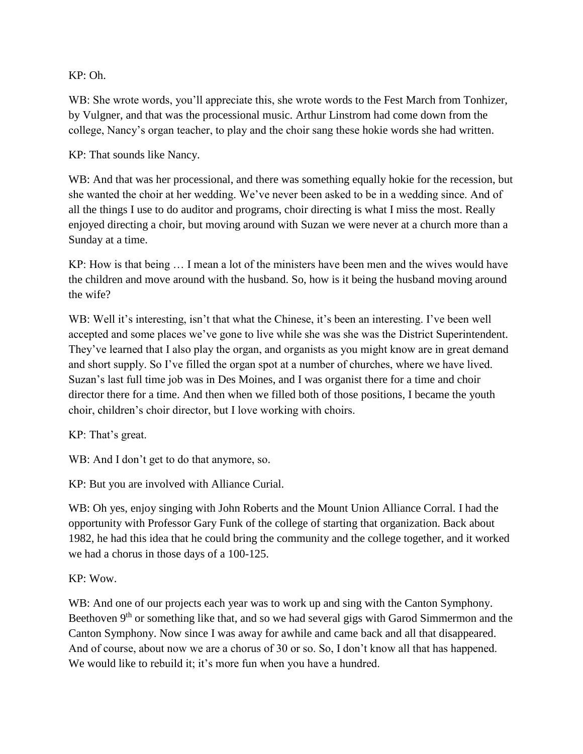KP: Oh.

WB: She wrote words, you'll appreciate this, she wrote words to the Fest March from Tonhizer, by Vulgner, and that was the processional music. Arthur Linstrom had come down from the college, Nancy's organ teacher, to play and the choir sang these hokie words she had written.

KP: That sounds like Nancy.

WB: And that was her processional, and there was something equally hokie for the recession, but she wanted the choir at her wedding. We've never been asked to be in a wedding since. And of all the things I use to do auditor and programs, choir directing is what I miss the most. Really enjoyed directing a choir, but moving around with Suzan we were never at a church more than a Sunday at a time.

KP: How is that being … I mean a lot of the ministers have been men and the wives would have the children and move around with the husband. So, how is it being the husband moving around the wife?

WB: Well it's interesting, isn't that what the Chinese, it's been an interesting. I've been well accepted and some places we've gone to live while she was she was the District Superintendent. They've learned that I also play the organ, and organists as you might know are in great demand and short supply. So I've filled the organ spot at a number of churches, where we have lived. Suzan's last full time job was in Des Moines, and I was organist there for a time and choir director there for a time. And then when we filled both of those positions, I became the youth choir, children's choir director, but I love working with choirs.

KP: That's great.

WB: And I don't get to do that anymore, so.

KP: But you are involved with Alliance Curial.

WB: Oh yes, enjoy singing with John Roberts and the Mount Union Alliance Corral. I had the opportunity with Professor Gary Funk of the college of starting that organization. Back about 1982, he had this idea that he could bring the community and the college together, and it worked we had a chorus in those days of a 100-125.

KP: Wow.

WB: And one of our projects each year was to work up and sing with the Canton Symphony. Beethoven 9<sup>th</sup> or something like that, and so we had several gigs with Garod Simmermon and the Canton Symphony. Now since I was away for awhile and came back and all that disappeared. And of course, about now we are a chorus of 30 or so. So, I don't know all that has happened. We would like to rebuild it; it's more fun when you have a hundred.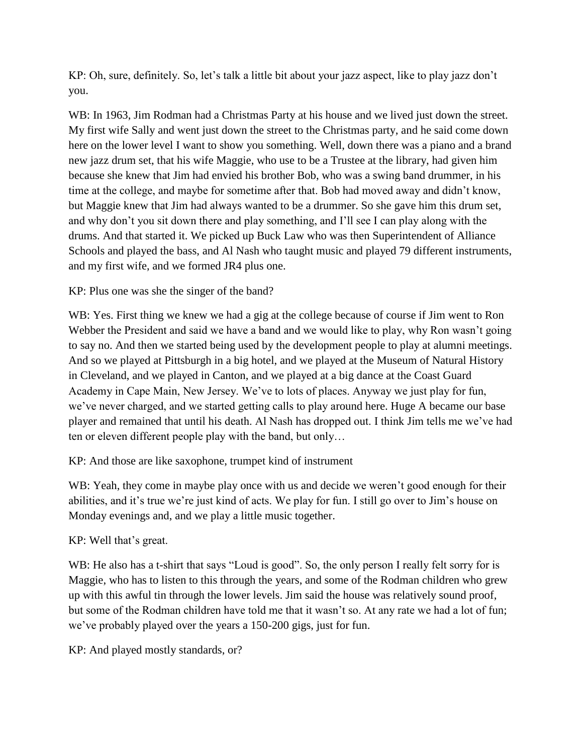KP: Oh, sure, definitely. So, let's talk a little bit about your jazz aspect, like to play jazz don't you.

WB: In 1963, Jim Rodman had a Christmas Party at his house and we lived just down the street. My first wife Sally and went just down the street to the Christmas party, and he said come down here on the lower level I want to show you something. Well, down there was a piano and a brand new jazz drum set, that his wife Maggie, who use to be a Trustee at the library, had given him because she knew that Jim had envied his brother Bob, who was a swing band drummer, in his time at the college, and maybe for sometime after that. Bob had moved away and didn't know, but Maggie knew that Jim had always wanted to be a drummer. So she gave him this drum set, and why don't you sit down there and play something, and I'll see I can play along with the drums. And that started it. We picked up Buck Law who was then Superintendent of Alliance Schools and played the bass, and Al Nash who taught music and played 79 different instruments, and my first wife, and we formed JR4 plus one.

KP: Plus one was she the singer of the band?

WB: Yes. First thing we knew we had a gig at the college because of course if Jim went to Ron Webber the President and said we have a band and we would like to play, why Ron wasn't going to say no. And then we started being used by the development people to play at alumni meetings. And so we played at Pittsburgh in a big hotel, and we played at the Museum of Natural History in Cleveland, and we played in Canton, and we played at a big dance at the Coast Guard Academy in Cape Main, New Jersey. We've to lots of places. Anyway we just play for fun, we've never charged, and we started getting calls to play around here. Huge A became our base player and remained that until his death. Al Nash has dropped out. I think Jim tells me we've had ten or eleven different people play with the band, but only…

KP: And those are like saxophone, trumpet kind of instrument

WB: Yeah, they come in maybe play once with us and decide we weren't good enough for their abilities, and it's true we're just kind of acts. We play for fun. I still go over to Jim's house on Monday evenings and, and we play a little music together.

KP: Well that's great.

WB: He also has a t-shirt that says "Loud is good". So, the only person I really felt sorry for is Maggie, who has to listen to this through the years, and some of the Rodman children who grew up with this awful tin through the lower levels. Jim said the house was relatively sound proof, but some of the Rodman children have told me that it wasn't so. At any rate we had a lot of fun; we've probably played over the years a 150-200 gigs, just for fun.

KP: And played mostly standards, or?